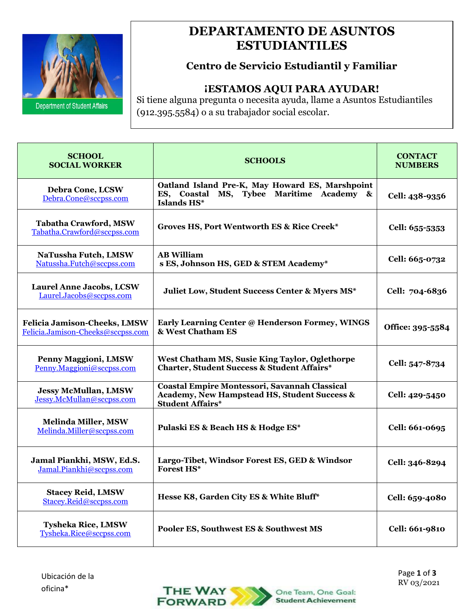

## **ESTUDIANTILES DEPARTAMENTO DE ASUNTOS**

### **Centro de Servicio Estudiantil y Familiar**

#### **¡ESTAMOS AQUI PARA AYUDAR!**

Si tiene alguna pregunta o necesita ayuda, llame a Asuntos Estudiantiles (912.395.5584) o a su trabajador social escolar.

| <b>SCHOOL</b><br><b>SOCIAL WORKER</b>                             | <b>SCHOOLS</b>                                                                                                                  | <b>CONTACT</b><br><b>NUMBERS</b> |
|-------------------------------------------------------------------|---------------------------------------------------------------------------------------------------------------------------------|----------------------------------|
| Debra Cone, LCSW<br>Debra.Cone@sccpss.com                         | Oatland Island Pre-K, May Howard ES, Marshpoint<br>ES, Coastal MS, Tybee Maritime Academy &<br>Islands HS*                      | Cell: 438-9356                   |
| <b>Tabatha Crawford, MSW</b><br>Tabatha.Crawford@sccpss.com       | Groves HS, Port Wentworth ES & Rice Creek*                                                                                      | Cell: 655-5353                   |
| NaTussha Futch, LMSW<br>Natussha.Futch@sccpss.com                 | <b>AB William</b><br>s ES, Johnson HS, GED & STEM Academy*                                                                      | Cell: 665-0732                   |
| <b>Laurel Anne Jacobs, LCSW</b><br>Laurel.Jacobs@sccpss.com       | Juliet Low, Student Success Center & Myers MS*                                                                                  | Cell: 704-6836                   |
| Felicia Jamison-Cheeks, LMSW<br>Felicia.Jamison-Cheeks@sccpss.com | Early Learning Center @ Henderson Formey, WINGS<br>& West Chatham ES                                                            | Office: 395-5584                 |
| <b>Penny Maggioni, LMSW</b><br>Penny.Maggioni@sccpss.com          | West Chatham MS, Susie King Taylor, Oglethorpe<br><b>Charter, Student Success &amp; Student Affairs*</b>                        | Cell: 547-8734                   |
| <b>Jessy McMullan, LMSW</b><br>Jessy.McMullan@sccpss.com          | <b>Coastal Empire Montessori, Savannah Classical</b><br>Academy, New Hampstead HS, Student Success &<br><b>Student Affairs*</b> | Cell: 429-5450                   |
| <b>Melinda Miller, MSW</b><br>Melinda.Miller@sccpss.com           | Pulaski ES & Beach HS & Hodge ES*                                                                                               | Cell: 661-0695                   |
| Jamal Piankhi, MSW, Ed.S.<br>Jamal.Piankhi@sccpss.com             | Largo-Tibet, Windsor Forest ES, GED & Windsor<br><b>Forest HS*</b>                                                              | Cell: 346-8294                   |
| <b>Stacey Reid, LMSW</b><br>Stacey.Reid@sccpss.com                | Hesse K8, Garden City ES & White Bluff*                                                                                         | Cell: 659-4080                   |
| <b>Tysheka Rice, LMSW</b><br>Tysheka.Rice@sccpss.com              | Pooler ES, Southwest ES & Southwest MS                                                                                          | Cell: 661-9810                   |

 Page **1** of **3** RV 03/2021

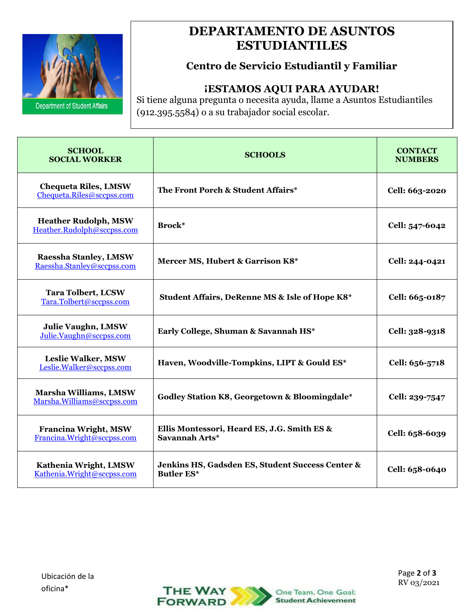

## **ESTUDIANTILES DEPARTAMENTO DE ASUNTOS**

## **Centro de Servicio Estudiantil y Familiar**

#### **¡ESTAMOS AQUI PARA AYUDAR!**

Si tiene alguna pregunta o necesita ayuda, llame a Asuntos Estudiantiles (912.395.5584) o a su trabajador social escolar.

| <b>SCHOOL</b><br><b>SOCIAL WORKER</b>                     | <b>SCHOOLS</b>                                                        | <b>CONTACT</b><br><b>NUMBERS</b> |
|-----------------------------------------------------------|-----------------------------------------------------------------------|----------------------------------|
| <b>Chequeta Riles, LMSW</b><br>Chequeta.Riles@sccpss.com  | The Front Porch & Student Affairs*                                    | Cell: 663-2020                   |
| <b>Heather Rudolph, MSW</b><br>Heather.Rudolph@sccpss.com | Brock*                                                                | Cell: 547-6042                   |
| Raessha Stanley, LMSW<br>Raessha.Stanley@sccpss.com       | Mercer MS, Hubert & Garrison K8*                                      | Cell: 244-0421                   |
| <b>Tara Tolbert, LCSW</b><br>Tara.Tolbert@sccpss.com      | Student Affairs, DeRenne MS & Isle of Hope K8*                        | Cell: 665-0187                   |
| <b>Julie Vaughn, LMSW</b><br>Julie.Vaughn@sccpss.com      | Early College, Shuman & Savannah HS*                                  | Cell: 328-9318                   |
| <b>Leslie Walker, MSW</b><br>Leslie.Walker@sccpss.com     | Haven, Woodville-Tompkins, LIPT & Gould ES*                           | Cell: 656-5718                   |
| Marsha Williams, LMSW<br>Marsha.Williams@sccpss.com       | Godley Station K8, Georgetown & Bloomingdale*                         | Cell: 239-7547                   |
| <b>Francina Wright, MSW</b><br>Francina.Wright@sccpss.com | Ellis Montessori, Heard ES, J.G. Smith ES &<br>Savannah Arts*         | Cell: 658-6039                   |
| Kathenia Wright, LMSW<br>Kathenia.Wright@sccpss.com       | Jenkins HS, Gadsden ES, Student Success Center &<br><b>Butler ES*</b> | Cell: 658-0640                   |